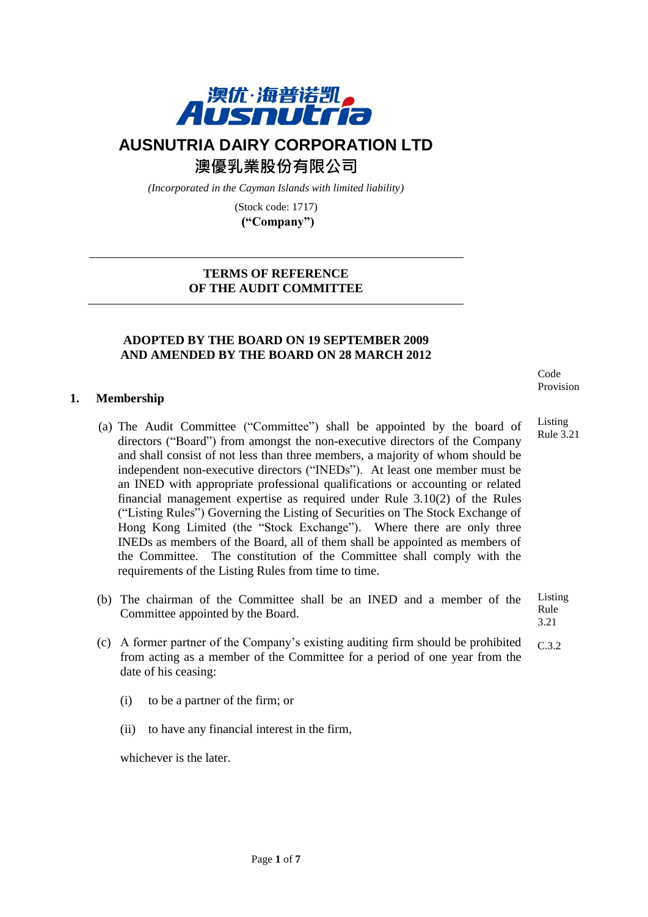

# **AUSNUTRIA DAIRY CORPORATION LTD**

澳優乳業股份有限公司

*(Incorporated in the Cayman Islands with limited liability)*

(Stock code: 1717) **("Company")**

# **TERMS OF REFERENCE OF THE AUDIT COMMITTEE**

# **ADOPTED BY THE BOARD ON 19 SEPTEMBER 2009 AND AMENDED BY THE BOARD ON 28 MARCH 2012**

# **1. Membership**

- (a) The Audit Committee ("Committee") shall be appointed by the board of directors ("Board") from amongst the non-executive directors of the Company and shall consist of not less than three members, a majority of whom should be independent non-executive directors ("INEDs"). At least one member must be an INED with appropriate professional qualifications or accounting or related financial management expertise as required under Rule 3.10(2) of the Rules ("Listing Rules") Governing the Listing of Securities on The Stock Exchange of Hong Kong Limited (the "Stock Exchange"). Where there are only three INEDs as members of the Board, all of them shall be appointed as members of the Committee. The constitution of the Committee shall comply with the requirements of the Listing Rules from time to time.
- (b) The chairman of the Committee shall be an INED and a member of the Committee appointed by the Board. Listing Rule 3.21
- (c) A former partner of the Company's existing auditing firm should be prohibited from acting as a member of the Committee for a period of one year from the date of his ceasing: C.3.2
	- (i) to be a partner of the firm; or
	- (ii) to have any financial interest in the firm,

whichever is the later.

Code Provision

Listing Rule 3.21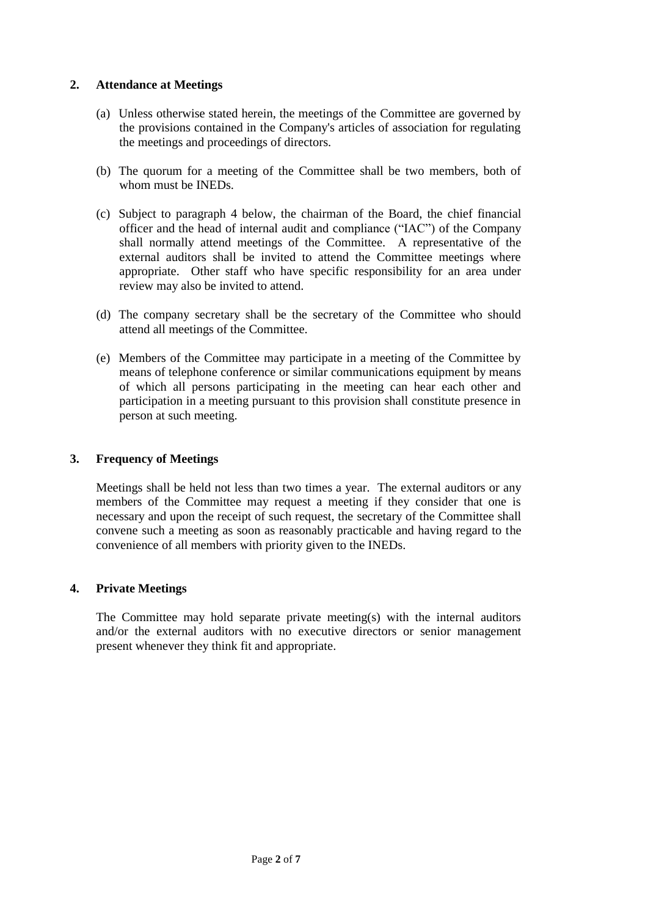# **2. Attendance at Meetings**

- (a) Unless otherwise stated herein, the meetings of the Committee are governed by the provisions contained in the Company's articles of association for regulating the meetings and proceedings of directors.
- (b) The quorum for a meeting of the Committee shall be two members, both of whom must be INEDs.
- (c) Subject to paragraph 4 below, the chairman of the Board, the chief financial officer and the head of internal audit and compliance ("IAC") of the Company shall normally attend meetings of the Committee. A representative of the external auditors shall be invited to attend the Committee meetings where appropriate. Other staff who have specific responsibility for an area under review may also be invited to attend.
- (d) The company secretary shall be the secretary of the Committee who should attend all meetings of the Committee.
- (e) Members of the Committee may participate in a meeting of the Committee by means of telephone conference or similar communications equipment by means of which all persons participating in the meeting can hear each other and participation in a meeting pursuant to this provision shall constitute presence in person at such meeting.

# **3. Frequency of Meetings**

Meetings shall be held not less than two times a year. The external auditors or any members of the Committee may request a meeting if they consider that one is necessary and upon the receipt of such request, the secretary of the Committee shall convene such a meeting as soon as reasonably practicable and having regard to the convenience of all members with priority given to the INEDs.

# **4. Private Meetings**

The Committee may hold separate private meeting(s) with the internal auditors and/or the external auditors with no executive directors or senior management present whenever they think fit and appropriate.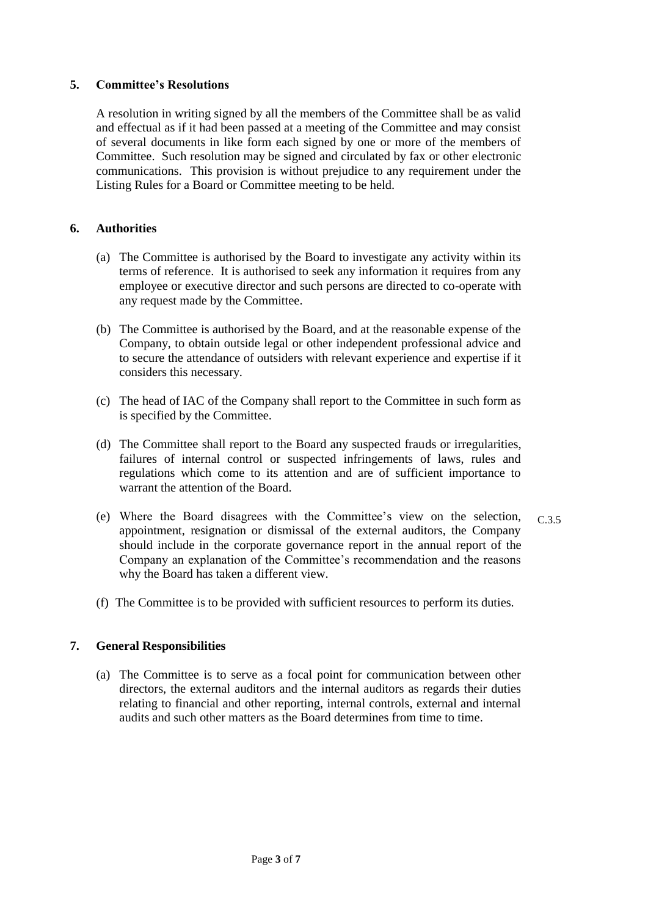# **5. Committee's Resolutions**

A resolution in writing signed by all the members of the Committee shall be as valid and effectual as if it had been passed at a meeting of the Committee and may consist of several documents in like form each signed by one or more of the members of Committee. Such resolution may be signed and circulated by fax or other electronic communications. This provision is without prejudice to any requirement under the Listing Rules for a Board or Committee meeting to be held.

# **6. Authorities**

- (a) The Committee is authorised by the Board to investigate any activity within its terms of reference. It is authorised to seek any information it requires from any employee or executive director and such persons are directed to co-operate with any request made by the Committee.
- (b) The Committee is authorised by the Board, and at the reasonable expense of the Company, to obtain outside legal or other independent professional advice and to secure the attendance of outsiders with relevant experience and expertise if it considers this necessary.
- (c) The head of IAC of the Company shall report to the Committee in such form as is specified by the Committee.
- (d) The Committee shall report to the Board any suspected frauds or irregularities, failures of internal control or suspected infringements of laws, rules and regulations which come to its attention and are of sufficient importance to warrant the attention of the Board.
- (e) Where the Board disagrees with the Committee's view on the selection, appointment, resignation or dismissal of the external auditors, the Company should include in the corporate governance report in the annual report of the Company an explanation of the Committee's recommendation and the reasons why the Board has taken a different view. C.3.5
- (f) The Committee is to be provided with sufficient resources to perform its duties.

# **7. General Responsibilities**

(a) The Committee is to serve as a focal point for communication between other directors, the external auditors and the internal auditors as regards their duties relating to financial and other reporting, internal controls, external and internal audits and such other matters as the Board determines from time to time.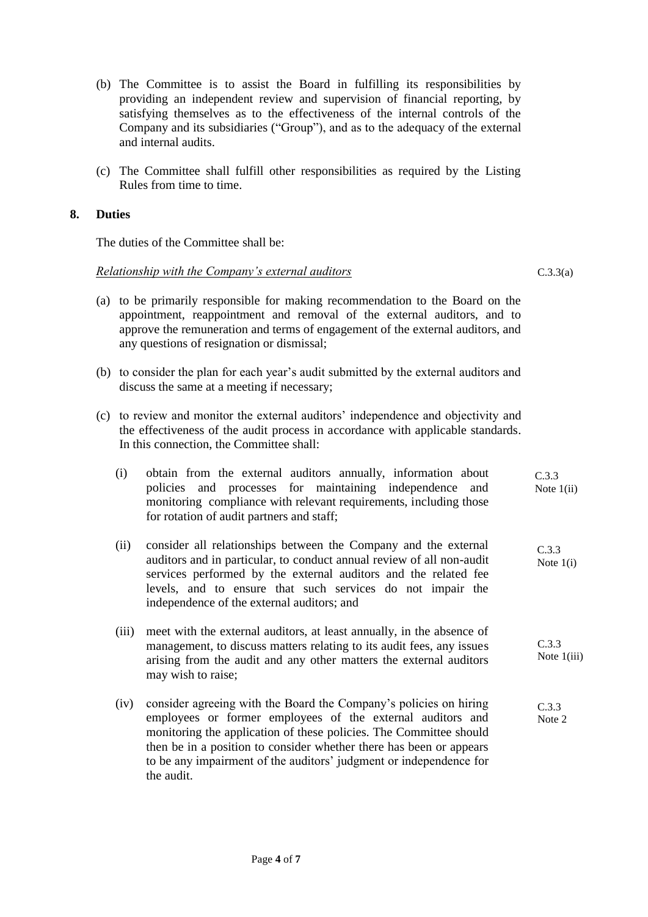- (b) The Committee is to assist the Board in fulfilling its responsibilities by providing an independent review and supervision of financial reporting, by satisfying themselves as to the effectiveness of the internal controls of the Company and its subsidiaries ("Group"), and as to the adequacy of the external and internal audits.
- (c) The Committee shall fulfill other responsibilities as required by the Listing Rules from time to time.

#### **8. Duties**

The duties of the Committee shall be:

#### *Relationship with the Company's external auditors*

- (a) to be primarily responsible for making recommendation to the Board on the appointment, reappointment and removal of the external auditors, and to approve the remuneration and terms of engagement of the external auditors, and any questions of resignation or dismissal;
- (b) to consider the plan for each year's audit submitted by the external auditors and discuss the same at a meeting if necessary;
- (c) to review and monitor the external auditors' independence and objectivity and the effectiveness of the audit process in accordance with applicable standards. In this connection, the Committee shall:
	- (i) obtain from the external auditors annually, information about policies and processes for maintaining independence and monitoring compliance with relevant requirements, including those for rotation of audit partners and staff; Note  $1(i)$  $\sum_{i=1}^{n}$  $C.3.3$
	- (ii) consider all relationships between the Company and the external auditors and in particular, to conduct annual review of all non-audit services performed by the external auditors and the related fee levels, and to ensure that such services do not impair the independence of the external auditors; and C.3.3 Note 1(i)
	- (iii) meet with the external auditors, at least annually, in the absence of management, to discuss matters relating to its audit fees, any issues arising from the audit and any other matters the external auditors may wish to raise; C.3.3 Note 1(iii)
	- (iv) consider agreeing with the Board the Company's policies on hiring employees or former employees of the external auditors and monitoring the application of these policies. The Committee should then be in a position to consider whether there has been or appears to be any impairment of the auditors' judgment or independence for the audit. C.3.3 Note 2

C.3.3(a)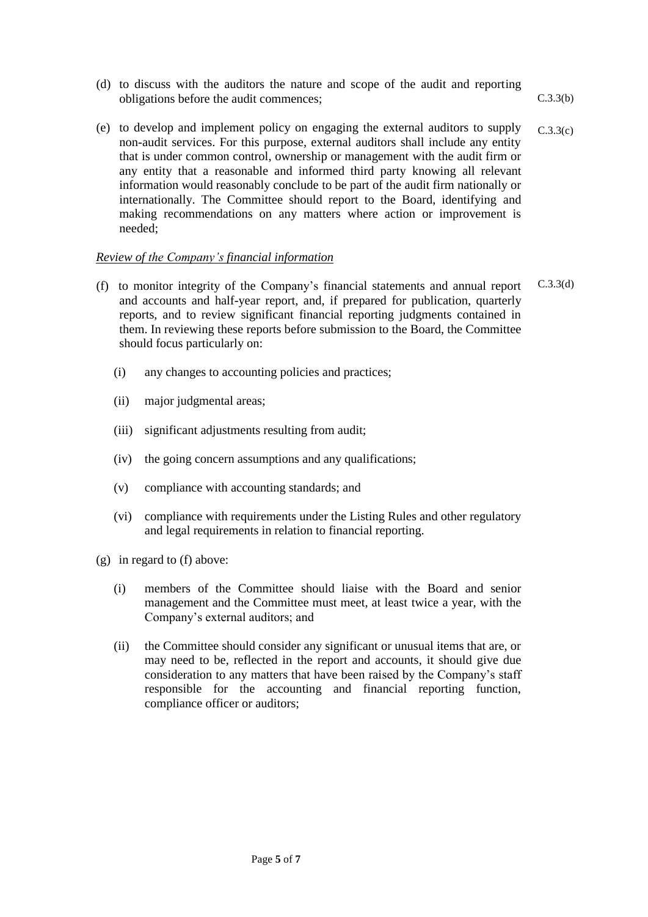- (d) to discuss with the auditors the nature and scope of the audit and reporting obligations before the audit commences; C.3.3(b)
- (e) to develop and implement policy on engaging the external auditors to supply non-audit services. For this purpose, external auditors shall include any entity that is under common control, ownership or management with the audit firm or any entity that a reasonable and informed third party knowing all relevant information would reasonably conclude to be part of the audit firm nationally or internationally. The Committee should report to the Board, identifying and making recommendations on any matters where action or improvement is needed; C.3.3(c)

# *Review of the Company's financial information*

- (f) to monitor integrity of the Company's financial statements and annual report and accounts and half-year report, and, if prepared for publication, quarterly reports, and to review significant financial reporting judgments contained in them. In reviewing these reports before submission to the Board, the Committee should focus particularly on: C.3.3(d)
	- (i) any changes to accounting policies and practices;
	- (ii) major judgmental areas;
	- (iii) significant adjustments resulting from audit;
	- (iv) the going concern assumptions and any qualifications;
	- (v) compliance with accounting standards; and
	- (vi) compliance with requirements under the Listing Rules and other regulatory and legal requirements in relation to financial reporting.
- (g) in regard to (f) above:
	- (i) members of the Committee should liaise with the Board and senior management and the Committee must meet, at least twice a year, with the Company's external auditors; and
	- (ii) the Committee should consider any significant or unusual items that are, or may need to be, reflected in the report and accounts, it should give due consideration to any matters that have been raised by the Company's staff responsible for the accounting and financial reporting function, compliance officer or auditors;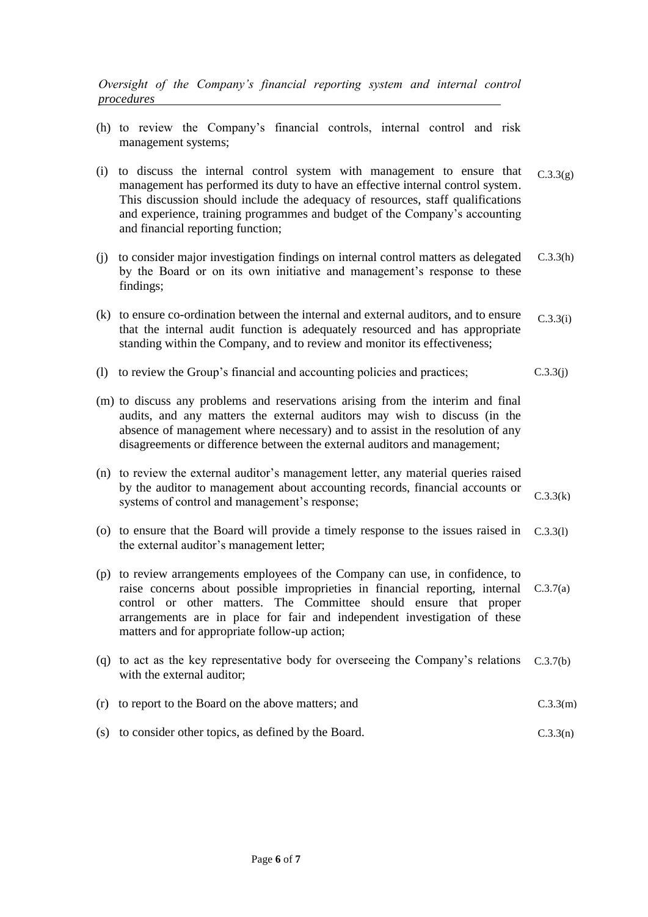*Oversight of the Company's financial reporting system and internal control procedures* 

- (h) to review the Company's financial controls, internal control and risk management systems;
- (i) to discuss the internal control system with management to ensure that management has performed its duty to have an effective internal control system. This discussion should include the adequacy of resources, staff qualifications and experience, training programmes and budget of the Company's accounting and financial reporting function;  $C.3.3(g)$
- (j) to consider major investigation findings on internal control matters as delegated by the Board or on its own initiative and management's response to these findings; C.3.3(h)
- (k) to ensure co-ordination between the internal and external auditors, and to ensure that the internal audit function is adequately resourced and has appropriate standing within the Company, and to review and monitor its effectiveness; C.3.3(i)
- (l) to review the Group's financial and accounting policies and practices; C.3.3(j)
- (m) to discuss any problems and reservations arising from the interim and final audits, and any matters the external auditors may wish to discuss (in the absence of management where necessary) and to assist in the resolution of any disagreements or difference between the external auditors and management;
- (n) to review the external auditor's management letter, any material queries raised by the auditor to management about accounting records, financial accounts or systems of control and management's response; C.3.3(k)
- (o) to ensure that the Board will provide a timely response to the issues raised in C.3.3(l) the external auditor's management letter;
- (p) to review arrangements employees of the Company can use, in confidence, to raise concerns about possible improprieties in financial reporting, internal C.3.7(a) control or other matters. The Committee should ensure that proper arrangements are in place for fair and independent investigation of these matters and for appropriate follow-up action;
- (q) to act as the key representative body for overseeing the Company's relations C.3.7(b)with the external auditor;
- (r) to report to the Board on the above matters; and C.3.3(m)
- (s) to consider other topics, as defined by the Board. C.3.3(n)